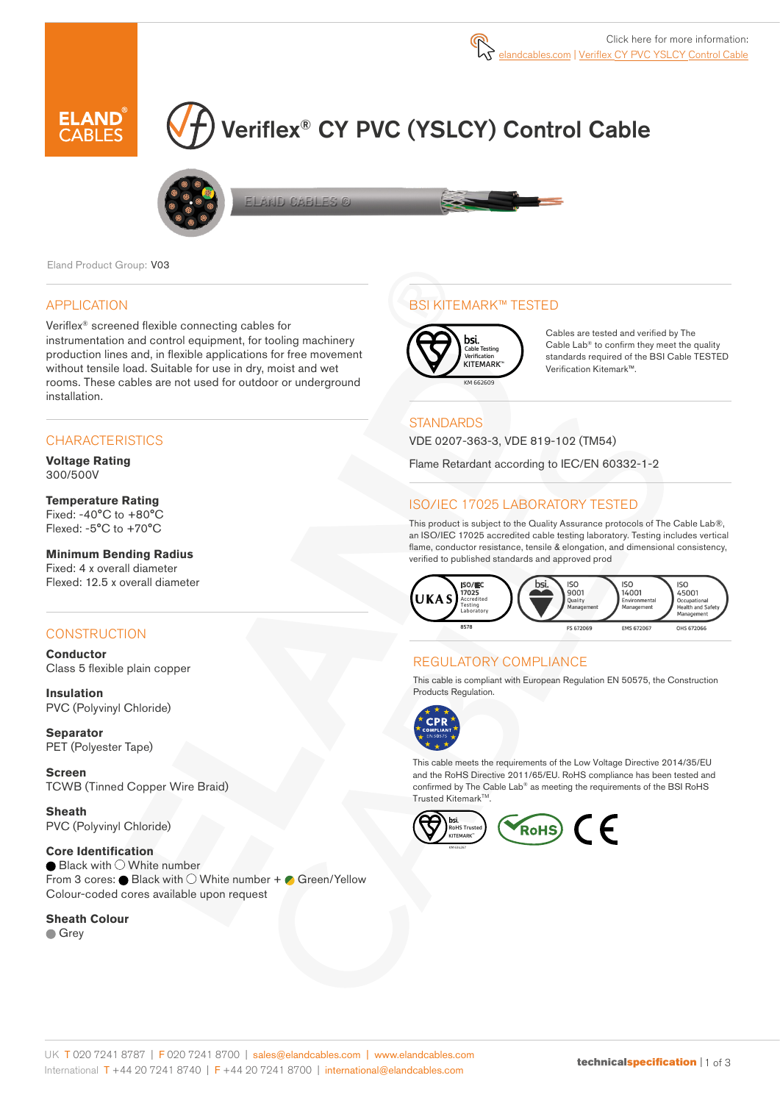

# Veriflex® CY PVC (YSLCY) Control Cable



ELAND CABLES ©

Eland Product Group: V03

## APPLICATION

Veriflex® screened flexible connecting cables for instrumentation and control equipment, for tooling machinery production lines and, in flexible applications for free movement without tensile load. Suitable for use in dry, moist and wet rooms. These cables are not used for outdoor or underground installation.

## **CHARACTERISTICS**

**Voltage Rating**  300/500V

## **Temperature Rating**

Fixed: -40°C to +80°C Flexed: -5°C to +70°C

#### **Minimum Bending Radius**

Fixed: 4 x overall diameter Flexed: 12.5 x overall diameter

## **CONSTRUCTION**

**Conductor** Class 5 flexible plain copper

**Insulation** PVC (Polyvinyl Chloride)

**Separator** PET (Polyester Tape)

**Screen** TCWB (Tinned Copper Wire Braid)

**Sheath** PVC (Polyvinyl Chloride)

**Core Identification**  $\bullet$  Black with  $\circlearrowright$  White number From 3 cores:  $\bullet$  Black with  $\circlearrowright$  White number +  $\bullet$  Green/Yellow Colour-coded cores available upon request

#### **Sheath Colour**

**Grev** 

## BSI KITEMARK™ TESTED



Cables are tested and verified by The Cable Lab® to confirm they meet the quality standards required of the BSI Cable TESTED Verification Kitemark™.

## **STANDARDS**

VDE 0207-363-3, VDE 819-102 (TM54)

Flame Retardant according to IEC/EN 60332-1-2

## ISO/IEC 17025 LABORATORY TESTED

This product is subject to the Quality Assurance protocols of The Cable Lab®, an ISO/IEC 17025 accredited cable testing laboratory. Testing includes vertical flame, conductor resistance, tensile & elongation, and dimensional consistency, verified to published standards and approved prod



## REGULATORY COMPLIANCE

This cable is compliant with European Regulation EN 50575, the Construction Products Regulation.



This cable meets the requirements of the Low Voltage Directive 2014/35/EU and the RoHS Directive 2011/65/EU. RoHS compliance has been tested and confirmed by The Cable Lab® as meeting the requirements of the BSI RoHS Trusted Kitemark™.

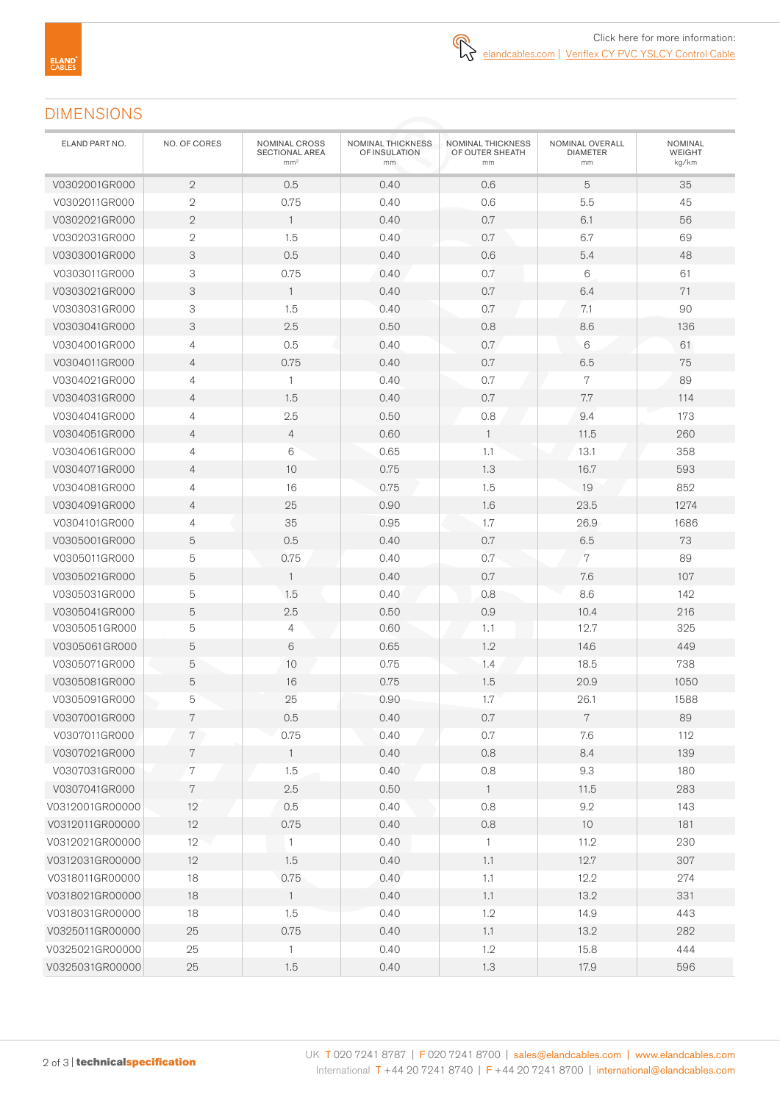# DIMENSIONS

| ELAND PART NO.  | NO. OF CORES   | NOMINAL CROSS<br>SECTIONAL AREA<br>mm <sup>2</sup> | NOMINAL THICKNESS<br>OF INSULATION<br>mm | NOMINAL THICKNESS<br>OF OUTER SHEATH<br>mm | NOMINAL OVERALL<br><b>DIAMETER</b><br>mm | NOMINAL<br><b>WEIGHT</b><br>kg/km |
|-----------------|----------------|----------------------------------------------------|------------------------------------------|--------------------------------------------|------------------------------------------|-----------------------------------|
| V0302001GR000   | $\mathbf{2}$   | 0.5                                                | 0.40                                     | 0.6                                        | 5                                        | 35                                |
| V0302011GR000   | $\mathbf{2}$   | 0.75                                               | 0.40                                     | 0.6                                        | 5.5                                      | 45                                |
| V0302021GR000   | $\mathbf{2}$   | $\mathbf{1}$                                       | 0.40                                     | 0.7                                        | 6.1                                      | 56                                |
| V0302031GR000   | $\mathbf{2}$   | 1.5                                                | 0.40                                     | 0.7                                        | 6.7                                      | 69                                |
| V0303001GR000   | 3              | 0.5                                                | 0.40                                     | 0.6                                        | 5.4                                      | 48                                |
| V0303011GR000   | 3              | 0.75                                               | 0.40                                     | 0.7                                        | $\,6$                                    | 61                                |
| V0303021GR000   | 3              | $\mathbf{1}$                                       | 0.40                                     | 0.7                                        | 6.4                                      | 71                                |
| V0303031GR000   | 3              | 1.5                                                | 0.40                                     | 0.7                                        | 7.1                                      | 90                                |
| V0303041GR000   | 3              | 2.5                                                | 0.50                                     | 0.8                                        | 8.6                                      | 136                               |
| V0304001GR000   | 4              | 0.5                                                | 0.40                                     | 0.7                                        | 6                                        | 61                                |
| V0304011GR000   | $\overline{4}$ | 0.75                                               | 0.40                                     | 0.7                                        | 6.5                                      | 75                                |
| V0304021GR000   | 4              | $\mathbf{1}$                                       | 0.40                                     | $0.7\,$                                    | $\overline{7}$                           | 89                                |
| V0304031GR000   | $\overline{4}$ | 1.5                                                | 0.40                                     | 0.7                                        | 7.7                                      | 114                               |
| V0304041GR000   | 4              | 2.5                                                | 0.50                                     | 0.8                                        | 9.4                                      | 173                               |
| V0304051GR000   | $\overline{4}$ | 4                                                  | 0.60                                     | $\mathbf{1}$                               | 11.5                                     | 260                               |
| V0304061GR000   | 4              | 6                                                  | 0.65                                     | 1.1                                        | 13.1                                     | 358                               |
| V0304071GR000   | $\overline{4}$ | 10                                                 | 0.75                                     | 1.3                                        | 16.7                                     | 593                               |
| V0304081GR000   | 4              | 16                                                 | 0.75                                     | 1.5                                        | 19                                       | 852                               |
| V0304091GR000   | $\overline{4}$ | 25                                                 | 0.90                                     | 1.6                                        | 23.5                                     | 1274                              |
| V0304101GR000   | 4              | 35                                                 | 0.95                                     | 1.7                                        | 26.9                                     | 1686                              |
| V0305001GR000   | 5              | 0.5                                                | 0.40                                     | 0.7                                        | 6.5                                      | 73                                |
| V0305011GR000   | 5              | 0.75                                               | 0.40                                     | 0.7                                        | 7                                        | 89                                |
| V0305021GR000   | 5              | $\mathbf{1}$                                       | 0.40                                     | 0.7                                        | 7.6                                      | 107                               |
| V0305031GR000   | 5              | 1.5                                                | 0.40                                     | 0.8                                        | 8.6                                      | 142                               |
| V0305041GR000   | 5              | 2.5                                                | 0.50                                     | 0.9                                        | 10.4                                     | 216                               |
| V0305051GR000   | 5              | 4                                                  | 0.60                                     | 1.1                                        | 12.7                                     | 325                               |
| V0305061GR000   | 5              | 6                                                  | 0.65                                     | 1.2                                        | 14.6                                     | 449                               |
| V0305071GR000   | 5              | 10                                                 | 0.75                                     | 1.4                                        | 18.5                                     | 738                               |
| V0305081GR000   | $\mathbf 5$    | 16                                                 | 0.75                                     | 1.5                                        | 20.9                                     | 1050                              |
| V0305091GR000   | 5              | 25                                                 | 0.90                                     | 1.7                                        | 26.1                                     | 1588                              |
| V0307001GR000   | 7              | 0.5                                                | 0.40                                     | 0.7                                        | 7                                        | 89                                |
| V0307011GR000   | $7\phantom{.}$ | 0.75                                               | 0.40                                     | 0.7                                        | 7.6                                      | 112                               |
| V0307021GR000   | 7              | $\mathbf{1}$                                       | 0.40                                     | 0.8                                        | 8.4                                      | 139                               |
| V0307031GR000   | 7              | 1.5                                                | 0.40                                     | 0.8                                        | 9.3                                      | 180                               |
| V0307041GR000   | $\,7$          | $2.5\,$                                            | 0.50                                     | $\overline{1}$                             | 11.5                                     | 283                               |
| V0312001GR00000 | 12             | 0.5                                                | 0.40                                     | 0.8                                        | 9.2                                      | 143                               |
| V0312011GR00000 | 12             | 0.75                                               | 0.40                                     | 0.8                                        | $10$                                     | 181                               |
| V0312021GR00000 | 12             | $\mathbf{1}$                                       | 0.40                                     | $\mathbf{1}$                               | 11.2                                     | 230                               |
| V0312031GR00000 | 12             | 1.5                                                | 0.40                                     | 1.1                                        | 12.7                                     | 307                               |
| V0318011GR00000 | 18             | 0.75                                               | 0.40                                     | $1.1\,$                                    | 12.2                                     | 274                               |
| V0318021GR00000 | 18             | $\overline{1}$                                     | 0.40                                     | 1.1                                        | 13.2                                     | 331                               |
| V0318031GR00000 | 18             | 1.5                                                | 0.40                                     | 1.2                                        | 14.9                                     | 443                               |
| V0325011GR00000 | 25             | 0.75                                               | 0.40                                     | 1.1                                        | 13.2                                     | 282                               |
| V0325021GR00000 | 25             | $\mathbf{1}$                                       | 0.40                                     | 1.2                                        | 15.8                                     | 444                               |
| V0325031GR00000 | 25             | 1.5                                                | 0.40                                     | 1.3                                        | 17.9                                     | 596                               |